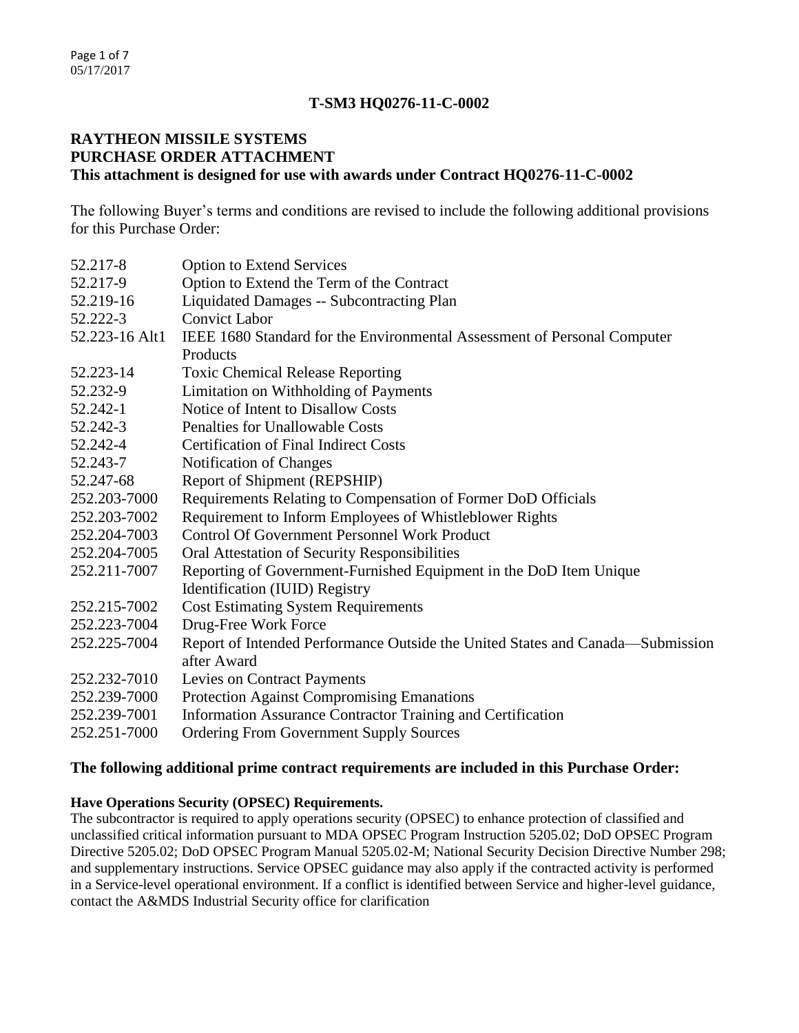# **T-SM3 HQ0276-11-C-0002**

### **RAYTHEON MISSILE SYSTEMS PURCHASE ORDER ATTACHMENT This attachment is designed for use with awards under Contract HQ0276-11-C-0002**

The following Buyer's terms and conditions are revised to include the following additional provisions for this Purchase Order:

| 52.217-8       | <b>Option to Extend Services</b>                                               |
|----------------|--------------------------------------------------------------------------------|
| 52.217-9       | Option to Extend the Term of the Contract                                      |
| 52.219-16      | Liquidated Damages -- Subcontracting Plan                                      |
| 52.222-3       | <b>Convict Labor</b>                                                           |
| 52.223-16 Alt1 | IEEE 1680 Standard for the Environmental Assessment of Personal Computer       |
|                | Products                                                                       |
| 52.223-14      | <b>Toxic Chemical Release Reporting</b>                                        |
| 52.232-9       | Limitation on Withholding of Payments                                          |
| 52.242-1       | Notice of Intent to Disallow Costs                                             |
| 52.242-3       | <b>Penalties for Unallowable Costs</b>                                         |
| 52.242-4       | <b>Certification of Final Indirect Costs</b>                                   |
| 52.243-7       | Notification of Changes                                                        |
| 52.247-68      | Report of Shipment (REPSHIP)                                                   |
| 252.203-7000   | Requirements Relating to Compensation of Former DoD Officials                  |
| 252.203-7002   | Requirement to Inform Employees of Whistleblower Rights                        |
| 252.204-7003   | <b>Control Of Government Personnel Work Product</b>                            |
| 252.204-7005   | Oral Attestation of Security Responsibilities                                  |
| 252.211-7007   | Reporting of Government-Furnished Equipment in the DoD Item Unique             |
|                | Identification (IUID) Registry                                                 |
| 252.215-7002   | <b>Cost Estimating System Requirements</b>                                     |
| 252.223-7004   | Drug-Free Work Force                                                           |
| 252.225-7004   | Report of Intended Performance Outside the United States and Canada—Submission |
|                | after Award                                                                    |
| 252.232-7010   | Levies on Contract Payments                                                    |
| 252.239-7000   | <b>Protection Against Compromising Emanations</b>                              |
| 252.239-7001   | Information Assurance Contractor Training and Certification                    |
| 252.251-7000   | <b>Ordering From Government Supply Sources</b>                                 |

## **The following additional prime contract requirements are included in this Purchase Order:**

### **Have Operations Security (OPSEC) Requirements.**

The subcontractor is required to apply operations security (OPSEC) to enhance protection of classified and unclassified critical information pursuant to MDA OPSEC Program Instruction 5205.02; DoD OPSEC Program Directive 5205.02; DoD OPSEC Program Manual 5205.02-M; National Security Decision Directive Number 298; and supplementary instructions. Service OPSEC guidance may also apply if the contracted activity is performed in a Service-level operational environment. If a conflict is identified between Service and higher-level guidance, contact the A&MDS Industrial Security office for clarification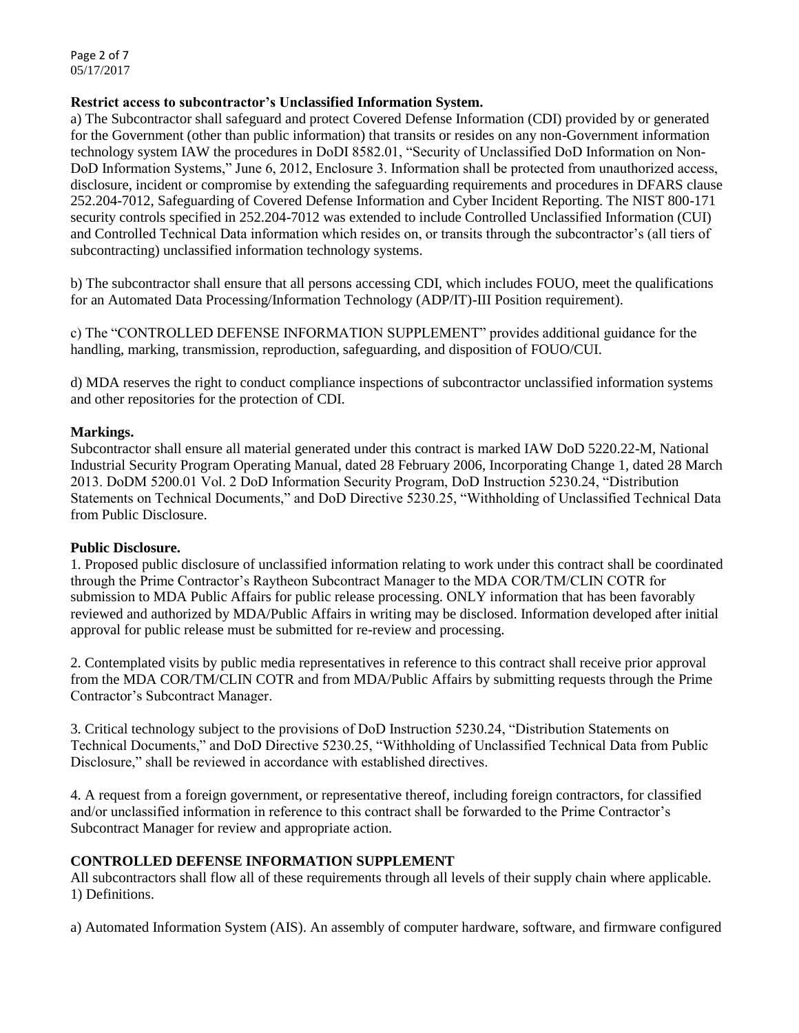Page 2 of 7 05/17/2017

### **Restrict access to subcontractor's Unclassified Information System.**

a) The Subcontractor shall safeguard and protect Covered Defense Information (CDI) provided by or generated for the Government (other than public information) that transits or resides on any non-Government information technology system IAW the procedures in DoDI 8582.01, "Security of Unclassified DoD Information on Non-DoD Information Systems," June 6, 2012, Enclosure 3. Information shall be protected from unauthorized access, disclosure, incident or compromise by extending the safeguarding requirements and procedures in DFARS clause 252.204-7012, Safeguarding of Covered Defense Information and Cyber Incident Reporting. The NIST 800-171 security controls specified in 252.204-7012 was extended to include Controlled Unclassified Information (CUI) and Controlled Technical Data information which resides on, or transits through the subcontractor's (all tiers of subcontracting) unclassified information technology systems.

b) The subcontractor shall ensure that all persons accessing CDI, which includes FOUO, meet the qualifications for an Automated Data Processing/Information Technology (ADP/IT)-III Position requirement).

c) The "CONTROLLED DEFENSE INFORMATION SUPPLEMENT" provides additional guidance for the handling, marking, transmission, reproduction, safeguarding, and disposition of FOUO/CUI.

d) MDA reserves the right to conduct compliance inspections of subcontractor unclassified information systems and other repositories for the protection of CDI.

#### **Markings.**

Subcontractor shall ensure all material generated under this contract is marked IAW DoD 5220.22-M, National Industrial Security Program Operating Manual, dated 28 February 2006, Incorporating Change 1, dated 28 March 2013. DoDM 5200.01 Vol. 2 DoD Information Security Program, DoD Instruction 5230.24, "Distribution Statements on Technical Documents," and DoD Directive 5230.25, "Withholding of Unclassified Technical Data from Public Disclosure.

#### **Public Disclosure.**

1. Proposed public disclosure of unclassified information relating to work under this contract shall be coordinated through the Prime Contractor's Raytheon Subcontract Manager to the MDA COR/TM/CLIN COTR for submission to MDA Public Affairs for public release processing. ONLY information that has been favorably reviewed and authorized by MDA/Public Affairs in writing may be disclosed. Information developed after initial approval for public release must be submitted for re-review and processing.

2. Contemplated visits by public media representatives in reference to this contract shall receive prior approval from the MDA COR/TM/CLIN COTR and from MDA/Public Affairs by submitting requests through the Prime Contractor's Subcontract Manager.

3. Critical technology subject to the provisions of DoD Instruction 5230.24, "Distribution Statements on Technical Documents," and DoD Directive 5230.25, "Withholding of Unclassified Technical Data from Public Disclosure," shall be reviewed in accordance with established directives.

4. A request from a foreign government, or representative thereof, including foreign contractors, for classified and/or unclassified information in reference to this contract shall be forwarded to the Prime Contractor's Subcontract Manager for review and appropriate action.

### **CONTROLLED DEFENSE INFORMATION SUPPLEMENT**

All subcontractors shall flow all of these requirements through all levels of their supply chain where applicable. 1) Definitions.

a) Automated Information System (AIS). An assembly of computer hardware, software, and firmware configured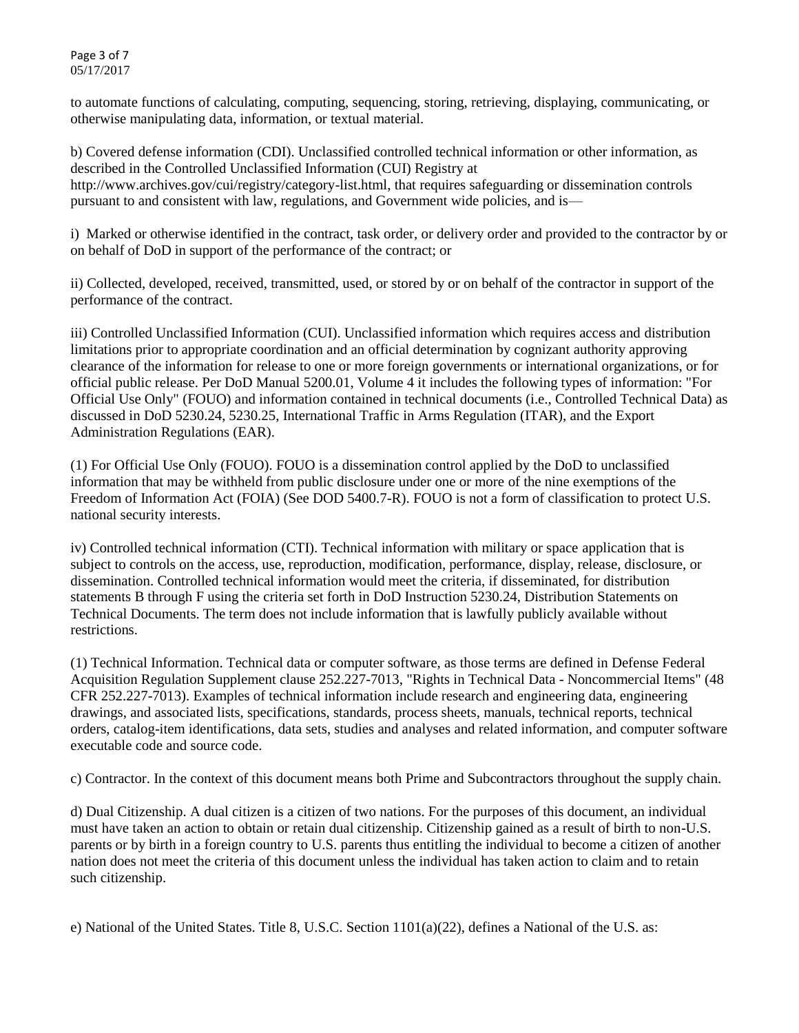Page 3 of 7 05/17/2017

to automate functions of calculating, computing, sequencing, storing, retrieving, displaying, communicating, or otherwise manipulating data, information, or textual material.

b) Covered defense information (CDI). Unclassified controlled technical information or other information, as described in the Controlled Unclassified Information (CUI) Registry at http://www.archives.gov/cui/registry/category-list.html, that requires safeguarding or dissemination controls pursuant to and consistent with law, regulations, and Government wide policies, and is—

i) Marked or otherwise identified in the contract, task order, or delivery order and provided to the contractor by or on behalf of DoD in support of the performance of the contract; or

ii) Collected, developed, received, transmitted, used, or stored by or on behalf of the contractor in support of the performance of the contract.

iii) Controlled Unclassified Information (CUI). Unclassified information which requires access and distribution limitations prior to appropriate coordination and an official determination by cognizant authority approving clearance of the information for release to one or more foreign governments or international organizations, or for official public release. Per DoD Manual 5200.01, Volume 4 it includes the following types of information: "For Official Use Only" (FOUO) and information contained in technical documents (i.e., Controlled Technical Data) as discussed in DoD 5230.24, 5230.25, International Traffic in Arms Regulation (ITAR), and the Export Administration Regulations (EAR).

(1) For Official Use Only (FOUO). FOUO is a dissemination control applied by the DoD to unclassified information that may be withheld from public disclosure under one or more of the nine exemptions of the Freedom of Information Act (FOIA) (See DOD 5400.7-R). FOUO is not a form of classification to protect U.S. national security interests.

iv) Controlled technical information (CTI). Technical information with military or space application that is subject to controls on the access, use, reproduction, modification, performance, display, release, disclosure, or dissemination. Controlled technical information would meet the criteria, if disseminated, for distribution statements B through F using the criteria set forth in DoD Instruction 5230.24, Distribution Statements on Technical Documents. The term does not include information that is lawfully publicly available without restrictions.

(1) Technical Information. Technical data or computer software, as those terms are defined in Defense Federal Acquisition Regulation Supplement clause 252.227-7013, "Rights in Technical Data - Noncommercial Items" (48 CFR 252.227-7013). Examples of technical information include research and engineering data, engineering drawings, and associated lists, specifications, standards, process sheets, manuals, technical reports, technical orders, catalog-item identifications, data sets, studies and analyses and related information, and computer software executable code and source code.

c) Contractor. In the context of this document means both Prime and Subcontractors throughout the supply chain.

d) Dual Citizenship. A dual citizen is a citizen of two nations. For the purposes of this document, an individual must have taken an action to obtain or retain dual citizenship. Citizenship gained as a result of birth to non-U.S. parents or by birth in a foreign country to U.S. parents thus entitling the individual to become a citizen of another nation does not meet the criteria of this document unless the individual has taken action to claim and to retain such citizenship.

e) National of the United States. Title 8, U.S.C. Section 1101(a)(22), defines a National of the U.S. as: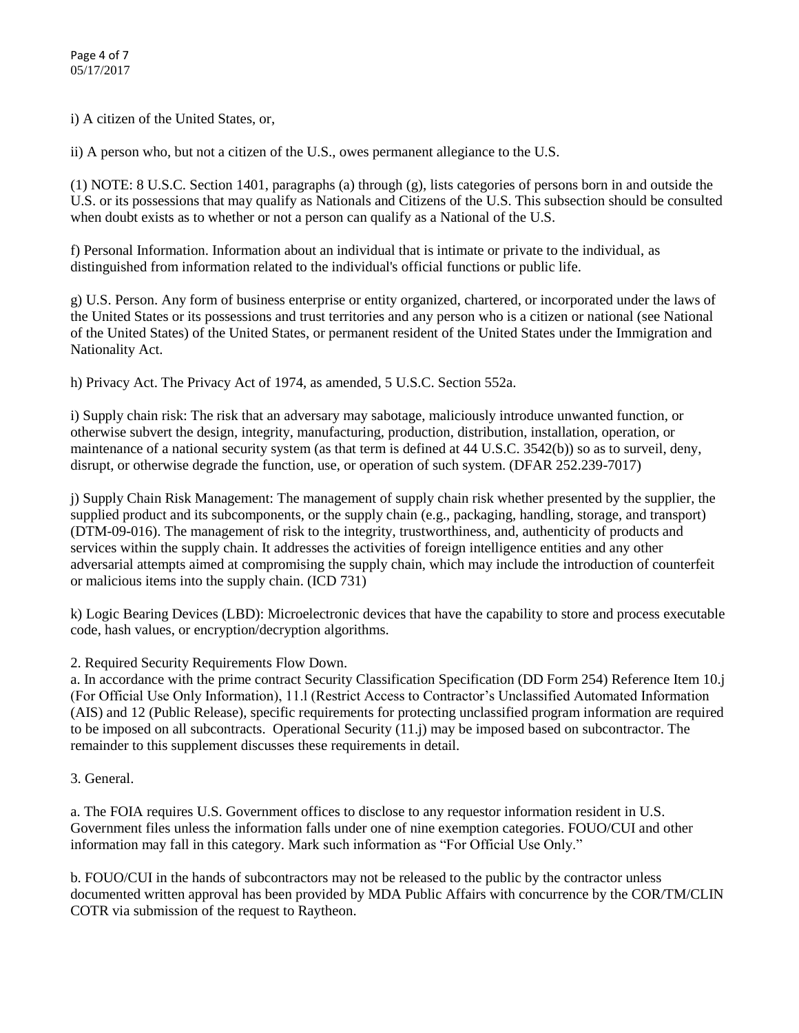i) A citizen of the United States, or,

ii) A person who, but not a citizen of the U.S., owes permanent allegiance to the U.S.

(1) NOTE: 8 U.S.C. Section 1401, paragraphs (a) through (g), lists categories of persons born in and outside the U.S. or its possessions that may qualify as Nationals and Citizens of the U.S. This subsection should be consulted when doubt exists as to whether or not a person can qualify as a National of the U.S.

f) Personal Information. Information about an individual that is intimate or private to the individual, as distinguished from information related to the individual's official functions or public life.

g) U.S. Person. Any form of business enterprise or entity organized, chartered, or incorporated under the laws of the United States or its possessions and trust territories and any person who is a citizen or national (see National of the United States) of the United States, or permanent resident of the United States under the Immigration and Nationality Act.

h) Privacy Act. The Privacy Act of 1974, as amended, 5 U.S.C. Section 552a.

i) Supply chain risk: The risk that an adversary may sabotage, maliciously introduce unwanted function, or otherwise subvert the design, integrity, manufacturing, production, distribution, installation, operation, or maintenance of a national security system (as that term is defined at 44 U.S.C. 3542(b)) so as to surveil, deny, disrupt, or otherwise degrade the function, use, or operation of such system. (DFAR 252.239-7017)

j) Supply Chain Risk Management: The management of supply chain risk whether presented by the supplier, the supplied product and its subcomponents, or the supply chain (e.g., packaging, handling, storage, and transport) (DTM-09-016). The management of risk to the integrity, trustworthiness, and, authenticity of products and services within the supply chain. It addresses the activities of foreign intelligence entities and any other adversarial attempts aimed at compromising the supply chain, which may include the introduction of counterfeit or malicious items into the supply chain. (ICD 731)

k) Logic Bearing Devices (LBD): Microelectronic devices that have the capability to store and process executable code, hash values, or encryption/decryption algorithms.

2. Required Security Requirements Flow Down.

a. In accordance with the prime contract Security Classification Specification (DD Form 254) Reference Item 10.j (For Official Use Only Information), 11.l (Restrict Access to Contractor's Unclassified Automated Information (AIS) and 12 (Public Release), specific requirements for protecting unclassified program information are required to be imposed on all subcontracts. Operational Security (11.j) may be imposed based on subcontractor. The remainder to this supplement discusses these requirements in detail.

3. General.

a. The FOIA requires U.S. Government offices to disclose to any requestor information resident in U.S. Government files unless the information falls under one of nine exemption categories. FOUO/CUI and other information may fall in this category. Mark such information as "For Official Use Only."

b. FOUO/CUI in the hands of subcontractors may not be released to the public by the contractor unless documented written approval has been provided by MDA Public Affairs with concurrence by the COR/TM/CLIN COTR via submission of the request to Raytheon.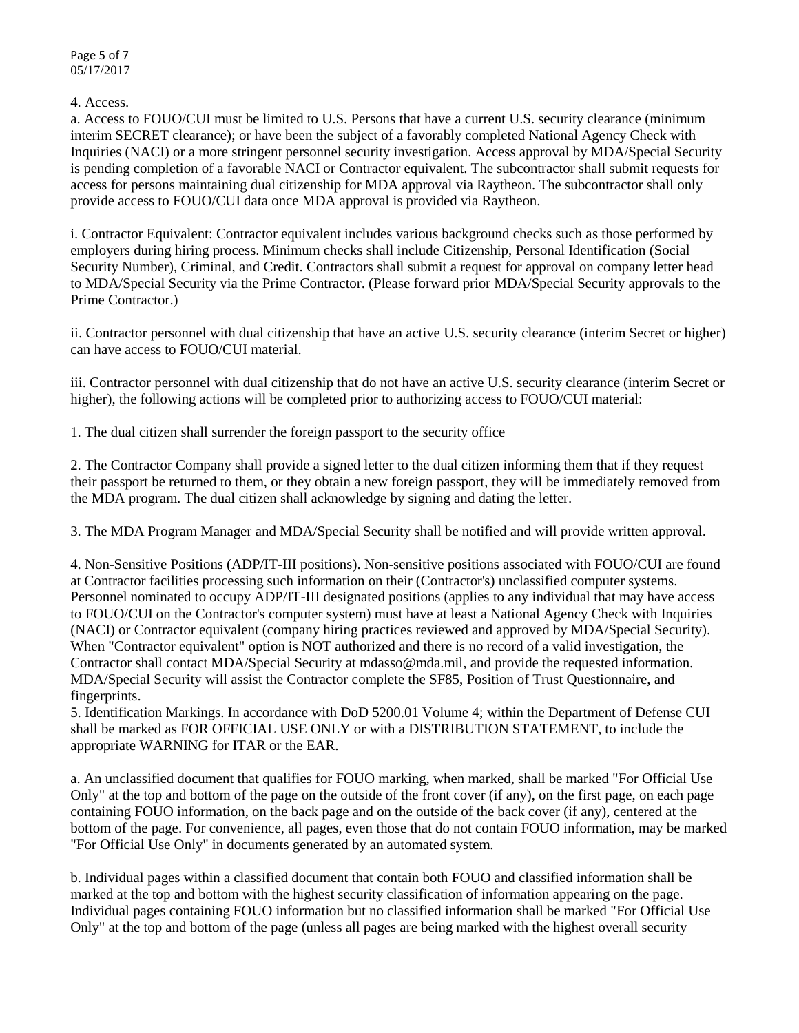Page 5 of 7 05/17/2017

4. Access.

a. Access to FOUO/CUI must be limited to U.S. Persons that have a current U.S. security clearance (minimum interim SECRET clearance); or have been the subject of a favorably completed National Agency Check with Inquiries (NACI) or a more stringent personnel security investigation. Access approval by MDA/Special Security is pending completion of a favorable NACI or Contractor equivalent. The subcontractor shall submit requests for access for persons maintaining dual citizenship for MDA approval via Raytheon. The subcontractor shall only provide access to FOUO/CUI data once MDA approval is provided via Raytheon.

i. Contractor Equivalent: Contractor equivalent includes various background checks such as those performed by employers during hiring process. Minimum checks shall include Citizenship, Personal Identification (Social Security Number), Criminal, and Credit. Contractors shall submit a request for approval on company letter head to MDA/Special Security via the Prime Contractor. (Please forward prior MDA/Special Security approvals to the Prime Contractor.)

ii. Contractor personnel with dual citizenship that have an active U.S. security clearance (interim Secret or higher) can have access to FOUO/CUI material.

iii. Contractor personnel with dual citizenship that do not have an active U.S. security clearance (interim Secret or higher), the following actions will be completed prior to authorizing access to FOUO/CUI material:

1. The dual citizen shall surrender the foreign passport to the security office

2. The Contractor Company shall provide a signed letter to the dual citizen informing them that if they request their passport be returned to them, or they obtain a new foreign passport, they will be immediately removed from the MDA program. The dual citizen shall acknowledge by signing and dating the letter.

3. The MDA Program Manager and MDA/Special Security shall be notified and will provide written approval.

4. Non-Sensitive Positions (ADP/IT-III positions). Non-sensitive positions associated with FOUO/CUI are found at Contractor facilities processing such information on their (Contractor's) unclassified computer systems. Personnel nominated to occupy ADP/IT-III designated positions (applies to any individual that may have access to FOUO/CUI on the Contractor's computer system) must have at least a National Agency Check with Inquiries (NACI) or Contractor equivalent (company hiring practices reviewed and approved by MDA/Special Security). When "Contractor equivalent" option is NOT authorized and there is no record of a valid investigation, the Contractor shall contact MDA/Special Security at mdasso@mda.mil, and provide the requested information. MDA/Special Security will assist the Contractor complete the SF85, Position of Trust Questionnaire, and fingerprints.

5. Identification Markings. In accordance with DoD 5200.01 Volume 4; within the Department of Defense CUI shall be marked as FOR OFFICIAL USE ONLY or with a DISTRIBUTION STATEMENT, to include the appropriate WARNING for ITAR or the EAR.

a. An unclassified document that qualifies for FOUO marking, when marked, shall be marked "For Official Use Only" at the top and bottom of the page on the outside of the front cover (if any), on the first page, on each page containing FOUO information, on the back page and on the outside of the back cover (if any), centered at the bottom of the page. For convenience, all pages, even those that do not contain FOUO information, may be marked "For Official Use Only" in documents generated by an automated system.

b. Individual pages within a classified document that contain both FOUO and classified information shall be marked at the top and bottom with the highest security classification of information appearing on the page. Individual pages containing FOUO information but no classified information shall be marked "For Official Use Only" at the top and bottom of the page (unless all pages are being marked with the highest overall security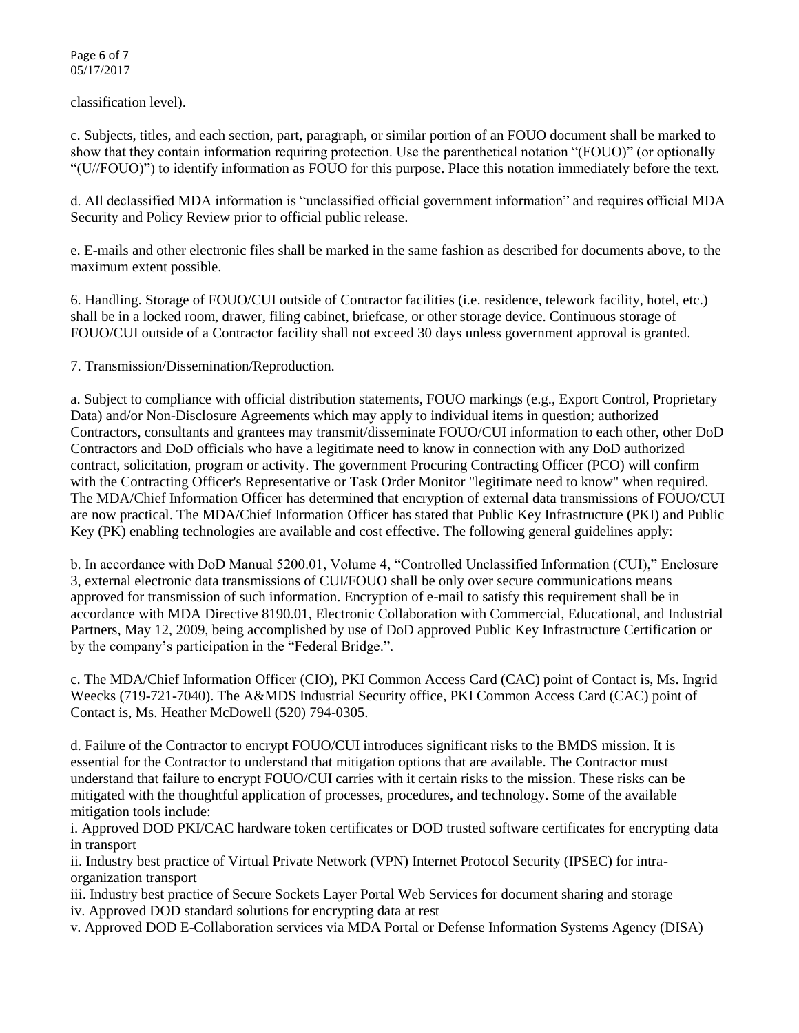Page 6 of 7 05/17/2017

classification level).

c. Subjects, titles, and each section, part, paragraph, or similar portion of an FOUO document shall be marked to show that they contain information requiring protection. Use the parenthetical notation "(FOUO)" (or optionally "(U//FOUO)") to identify information as FOUO for this purpose. Place this notation immediately before the text.

d. All declassified MDA information is "unclassified official government information" and requires official MDA Security and Policy Review prior to official public release.

e. E-mails and other electronic files shall be marked in the same fashion as described for documents above, to the maximum extent possible.

6. Handling. Storage of FOUO/CUI outside of Contractor facilities (i.e. residence, telework facility, hotel, etc.) shall be in a locked room, drawer, filing cabinet, briefcase, or other storage device. Continuous storage of FOUO/CUI outside of a Contractor facility shall not exceed 30 days unless government approval is granted.

7. Transmission/Dissemination/Reproduction.

a. Subject to compliance with official distribution statements, FOUO markings (e.g., Export Control, Proprietary Data) and/or Non-Disclosure Agreements which may apply to individual items in question; authorized Contractors, consultants and grantees may transmit/disseminate FOUO/CUI information to each other, other DoD Contractors and DoD officials who have a legitimate need to know in connection with any DoD authorized contract, solicitation, program or activity. The government Procuring Contracting Officer (PCO) will confirm with the Contracting Officer's Representative or Task Order Monitor "legitimate need to know" when required. The MDA/Chief Information Officer has determined that encryption of external data transmissions of FOUO/CUI are now practical. The MDA/Chief Information Officer has stated that Public Key Infrastructure (PKI) and Public Key (PK) enabling technologies are available and cost effective. The following general guidelines apply:

b. In accordance with DoD Manual 5200.01, Volume 4, "Controlled Unclassified Information (CUI)," Enclosure 3, external electronic data transmissions of CUI/FOUO shall be only over secure communications means approved for transmission of such information. Encryption of e-mail to satisfy this requirement shall be in accordance with MDA Directive 8190.01, Electronic Collaboration with Commercial, Educational, and Industrial Partners, May 12, 2009, being accomplished by use of DoD approved Public Key Infrastructure Certification or by the company's participation in the "Federal Bridge.".

c. The MDA/Chief Information Officer (CIO), PKI Common Access Card (CAC) point of Contact is, Ms. Ingrid Weecks (719-721-7040). The A&MDS Industrial Security office, PKI Common Access Card (CAC) point of Contact is, Ms. Heather McDowell (520) 794-0305.

d. Failure of the Contractor to encrypt FOUO/CUI introduces significant risks to the BMDS mission. It is essential for the Contractor to understand that mitigation options that are available. The Contractor must understand that failure to encrypt FOUO/CUI carries with it certain risks to the mission. These risks can be mitigated with the thoughtful application of processes, procedures, and technology. Some of the available mitigation tools include:

i. Approved DOD PKI/CAC hardware token certificates or DOD trusted software certificates for encrypting data in transport

ii. Industry best practice of Virtual Private Network (VPN) Internet Protocol Security (IPSEC) for intraorganization transport

iii. Industry best practice of Secure Sockets Layer Portal Web Services for document sharing and storage iv. Approved DOD standard solutions for encrypting data at rest

v. Approved DOD E-Collaboration services via MDA Portal or Defense Information Systems Agency (DISA)